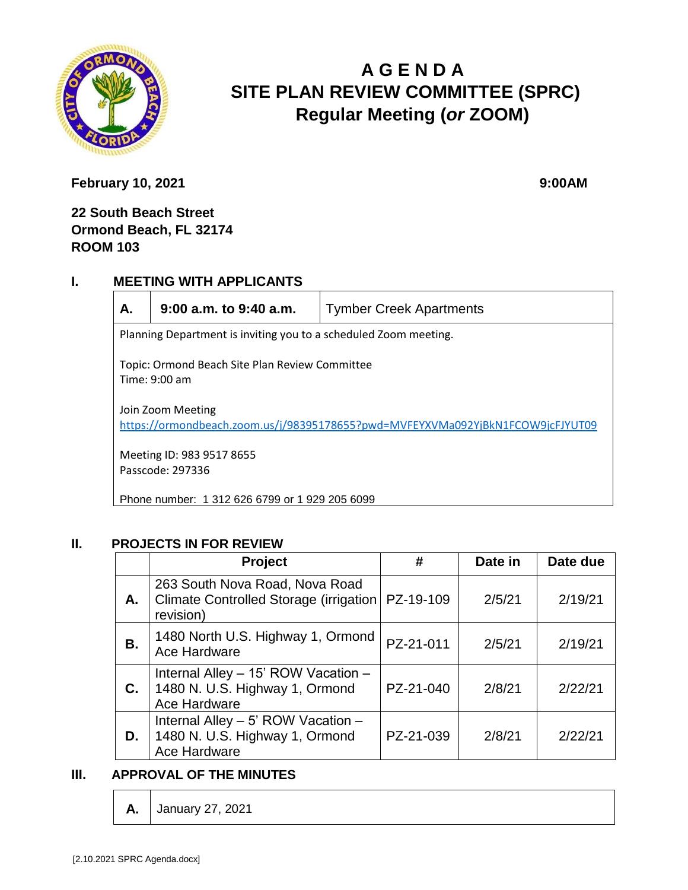

# **A G E N D A SITE PLAN REVIEW COMMITTEE (SPRC) Regular Meeting (***or* **ZOOM)**

**February 10, 2021** 9:00AM

# **22 South Beach Street Ormond Beach, FL 32174 ROOM 103**

### **I. MEETING WITH APPLICANTS**



**A. 9:00 a.m. to 9:40 a.m.** Tymber Creek Apartments

Planning Department is inviting you to a scheduled Zoom meeting.

Topic: Ormond Beach Site Plan Review Committee Time: 9:00 am

Join Zoom Meeting <https://ormondbeach.zoom.us/j/98395178655?pwd=MVFEYXVMa092YjBkN1FCOW9jcFJYUT09>

Meeting ID: 983 9517 8655 Passcode: 297336

Phone number: 1 312 626 6799 or 1 929 205 6099

### **II. PROJECTS IN FOR REVIEW**

|    | <b>Project</b>                                                                         | #         | Date in | Date due |
|----|----------------------------------------------------------------------------------------|-----------|---------|----------|
| А. | 263 South Nova Road, Nova Road<br>Climate Controlled Storage (irrigation)<br>revision) | PZ-19-109 | 2/5/21  | 2/19/21  |
| В. | 1480 North U.S. Highway 1, Ormond<br>Ace Hardware                                      | PZ-21-011 | 2/5/21  | 2/19/21  |
| C. | Internal Alley - 15' ROW Vacation -<br>1480 N. U.S. Highway 1, Ormond<br>Ace Hardware  | PZ-21-040 | 2/8/21  | 2/22/21  |
| D. | Internal Alley - 5' ROW Vacation -<br>1480 N. U.S. Highway 1, Ormond<br>Ace Hardware   | PZ-21-039 | 2/8/21  | 2/22/21  |

# **III. APPROVAL OF THE MINUTES**

**A.** January 27, 2021